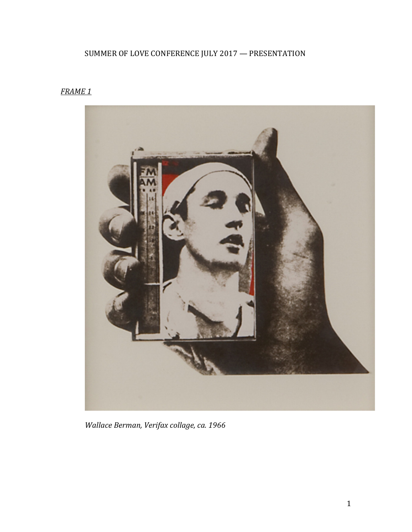# SUMMER OF LOVE CONFERENCE JULY 2017 - PRESENTATION

## *FRAME 1*



*Wallace Berman, Verifax collage, ca. 1966*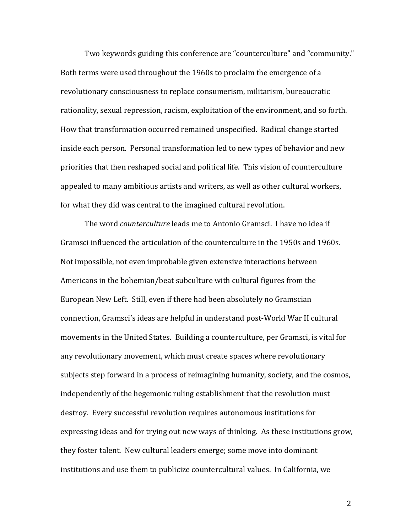Two keywords guiding this conference are "counterculture" and "community." Both terms were used throughout the 1960s to proclaim the emergence of a revolutionary consciousness to replace consumerism, militarism, bureaucratic rationality, sexual repression, racism, exploitation of the environment, and so forth. How that transformation occurred remained unspecified. Radical change started inside each person. Personal transformation led to new types of behavior and new priorities that then reshaped social and political life. This vision of counterculture appealed to many ambitious artists and writers, as well as other cultural workers, for what they did was central to the imagined cultural revolution.

The word *counterculture* leads me to Antonio Gramsci. I have no idea if Gramsci influenced the articulation of the counterculture in the 1950s and 1960s. Not impossible, not even improbable given extensive interactions between Americans in the bohemian/beat subculture with cultural figures from the European New Left. Still, even if there had been absolutely no Gramscian connection, Gramsci's ideas are helpful in understand post-World War II cultural movements in the United States. Building a counterculture, per Gramsci, is vital for any revolutionary movement, which must create spaces where revolutionary subjects step forward in a process of reimagining humanity, society, and the cosmos, independently of the hegemonic ruling establishment that the revolution must destroy. Every successful revolution requires autonomous institutions for expressing ideas and for trying out new ways of thinking. As these institutions grow, they foster talent. New cultural leaders emerge; some move into dominant institutions and use them to publicize countercultural values. In California, we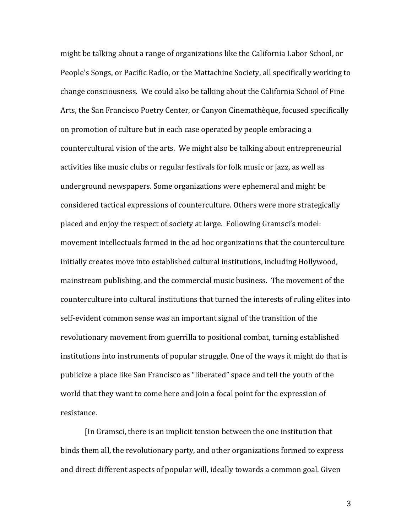might be talking about a range of organizations like the California Labor School, or People's Songs, or Pacific Radio, or the Mattachine Society, all specifically working to change consciousness. We could also be talking about the California School of Fine Arts, the San Francisco Poetry Center, or Canyon Cinemathèque, focused specifically on promotion of culture but in each case operated by people embracing a countercultural vision of the arts. We might also be talking about entrepreneurial activities like music clubs or regular festivals for folk music or jazz, as well as underground newspapers. Some organizations were ephemeral and might be considered tactical expressions of counterculture. Others were more strategically placed and enjoy the respect of society at large. Following Gramsci's model: movement intellectuals formed in the ad hoc organizations that the counterculture initially creates move into established cultural institutions, including Hollywood, mainstream publishing, and the commercial music business. The movement of the counterculture into cultural institutions that turned the interests of ruling elites into self-evident common sense was an important signal of the transition of the revolutionary movement from guerrilla to positional combat, turning established institutions into instruments of popular struggle. One of the ways it might do that is publicize a place like San Francisco as "liberated" space and tell the youth of the world that they want to come here and join a focal point for the expression of resistance.

[In Gramsci, there is an implicit tension between the one institution that binds them all, the revolutionary party, and other organizations formed to express and direct different aspects of popular will, ideally towards a common goal. Given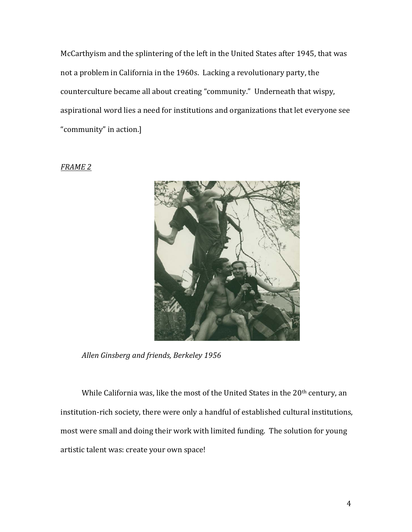McCarthyism and the splintering of the left in the United States after 1945, that was not a problem in California in the 1960s. Lacking a revolutionary party, the counterculture became all about creating "community." Underneath that wispy, aspirational word lies a need for institutions and organizations that let everyone see "community" in action.]

### *FRAME 2*



*Allen Ginsberg and friends, Berkeley 1956*

While California was, like the most of the United States in the  $20<sup>th</sup>$  century, an institution-rich society, there were only a handful of established cultural institutions, most were small and doing their work with limited funding. The solution for young artistic talent was: create your own space!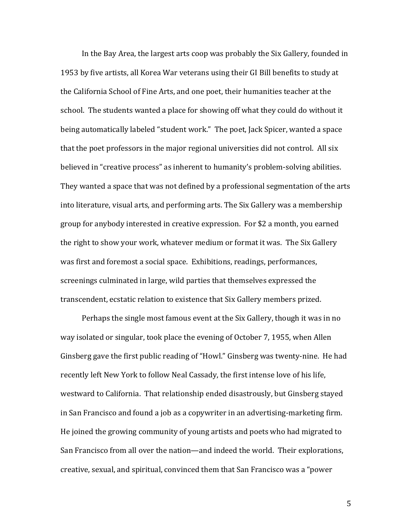In the Bay Area, the largest arts coop was probably the Six Gallery, founded in 1953 by five artists, all Korea War veterans using their GI Bill benefits to study at the California School of Fine Arts, and one poet, their humanities teacher at the school. The students wanted a place for showing off what they could do without it being automatically labeled "student work." The poet, Jack Spicer, wanted a space that the poet professors in the major regional universities did not control. All six believed in "creative process" as inherent to humanity's problem-solving abilities. They wanted a space that was not defined by a professional segmentation of the arts into literature, visual arts, and performing arts. The Six Gallery was a membership group for anybody interested in creative expression. For \$2 a month, you earned the right to show your work, whatever medium or format it was. The Six Gallery was first and foremost a social space. Exhibitions, readings, performances, screenings culminated in large, wild parties that themselves expressed the transcendent, ecstatic relation to existence that Six Gallery members prized.

Perhaps the single most famous event at the Six Gallery, though it was in no way isolated or singular, took place the evening of October 7, 1955, when Allen Ginsberg gave the first public reading of "Howl." Ginsberg was twenty-nine. He had recently left New York to follow Neal Cassady, the first intense love of his life, westward to California. That relationship ended disastrously, but Ginsberg stayed in San Francisco and found a job as a copywriter in an advertising-marketing firm. He joined the growing community of young artists and poets who had migrated to San Francisco from all over the nation—and indeed the world. Their explorations, creative, sexual, and spiritual, convinced them that San Francisco was a "power"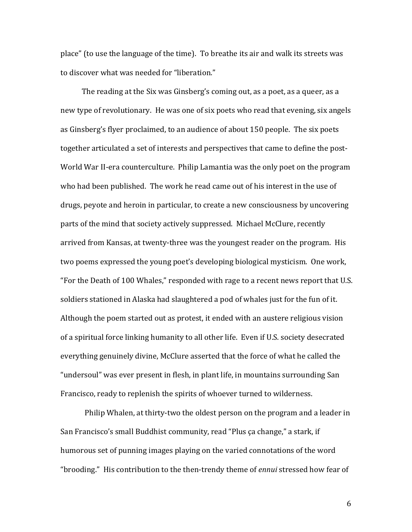place" (to use the language of the time). To breathe its air and walk its streets was to discover what was needed for "liberation."

The reading at the Six was Ginsberg's coming out, as a poet, as a queer, as a new type of revolutionary. He was one of six poets who read that evening, six angels as Ginsberg's flyer proclaimed, to an audience of about 150 people. The six poets together articulated a set of interests and perspectives that came to define the post-World War II-era counterculture. Philip Lamantia was the only poet on the program who had been published. The work he read came out of his interest in the use of drugs, peyote and heroin in particular, to create a new consciousness by uncovering parts of the mind that society actively suppressed. Michael McClure, recently arrived from Kansas, at twenty-three was the youngest reader on the program. His two poems expressed the young poet's developing biological mysticism. One work, "For the Death of 100 Whales," responded with rage to a recent news report that U.S. soldiers stationed in Alaska had slaughtered a pod of whales just for the fun of it. Although the poem started out as protest, it ended with an austere religious vision of a spiritual force linking humanity to all other life. Even if U.S. society desecrated everything genuinely divine, McClure asserted that the force of what he called the "undersoul" was ever present in flesh, in plant life, in mountains surrounding San Francisco, ready to replenish the spirits of whoever turned to wilderness.

Philip Whalen, at thirty-two the oldest person on the program and a leader in San Francisco's small Buddhist community, read "Plus ça change," a stark, if humorous set of punning images playing on the varied connotations of the word "brooding." His contribution to the then-trendy theme of *ennui* stressed how fear of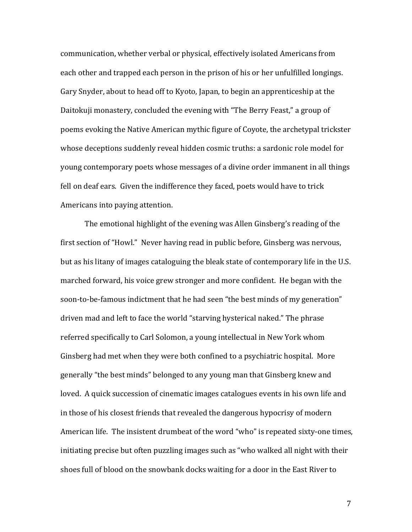communication, whether verbal or physical, effectively isolated Americans from each other and trapped each person in the prison of his or her unfulfilled longings. Gary Snyder, about to head off to Kyoto, Japan, to begin an apprenticeship at the Daitokuji monastery, concluded the evening with "The Berry Feast," a group of poems evoking the Native American mythic figure of Coyote, the archetypal trickster whose deceptions suddenly reveal hidden cosmic truths: a sardonic role model for young contemporary poets whose messages of a divine order immanent in all things fell on deaf ears. Given the indifference they faced, poets would have to trick Americans into paying attention.

The emotional highlight of the evening was Allen Ginsberg's reading of the first section of "Howl." Never having read in public before, Ginsberg was nervous, but as his litany of images cataloguing the bleak state of contemporary life in the U.S. marched forward, his voice grew stronger and more confident. He began with the soon-to-be-famous indictment that he had seen "the best minds of my generation" driven mad and left to face the world "starving hysterical naked." The phrase referred specifically to Carl Solomon, a young intellectual in New York whom Ginsberg had met when they were both confined to a psychiatric hospital. More generally "the best minds" belonged to any young man that Ginsberg knew and loved. A quick succession of cinematic images catalogues events in his own life and in those of his closest friends that revealed the dangerous hypocrisy of modern American life. The insistent drumbeat of the word "who" is repeated sixty-one times, initiating precise but often puzzling images such as "who walked all night with their shoes full of blood on the snowbank docks waiting for a door in the East River to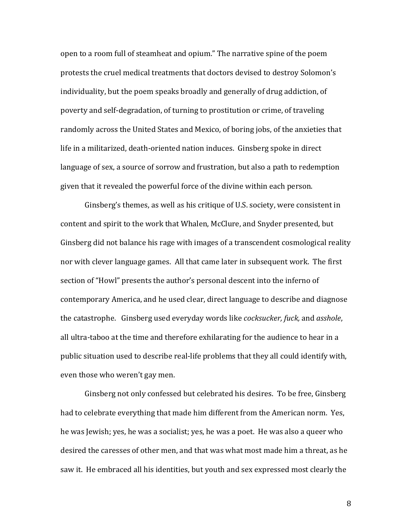open to a room full of steamheat and opium." The narrative spine of the poem protests the cruel medical treatments that doctors devised to destroy Solomon's individuality, but the poem speaks broadly and generally of drug addiction, of poverty and self-degradation, of turning to prostitution or crime, of traveling randomly across the United States and Mexico, of boring jobs, of the anxieties that life in a militarized, death-oriented nation induces. Ginsberg spoke in direct language of sex, a source of sorrow and frustration, but also a path to redemption given that it revealed the powerful force of the divine within each person.

Ginsberg's themes, as well as his critique of U.S. society, were consistent in content and spirit to the work that Whalen, McClure, and Snyder presented, but Ginsberg did not balance his rage with images of a transcendent cosmological reality nor with clever language games. All that came later in subsequent work. The first section of "Howl" presents the author's personal descent into the inferno of contemporary America, and he used clear, direct language to describe and diagnose the catastrophe. Ginsberg used everyday words like *cocksucker, fuck,* and *asshole*, all ultra-taboo at the time and therefore exhilarating for the audience to hear in a public situation used to describe real-life problems that they all could identify with, even those who weren't gay men.

Ginsberg not only confessed but celebrated his desires. To be free, Ginsberg had to celebrate everything that made him different from the American norm. Yes, he was Jewish; yes, he was a socialist; yes, he was a poet. He was also a queer who desired the caresses of other men, and that was what most made him a threat, as he saw it. He embraced all his identities, but youth and sex expressed most clearly the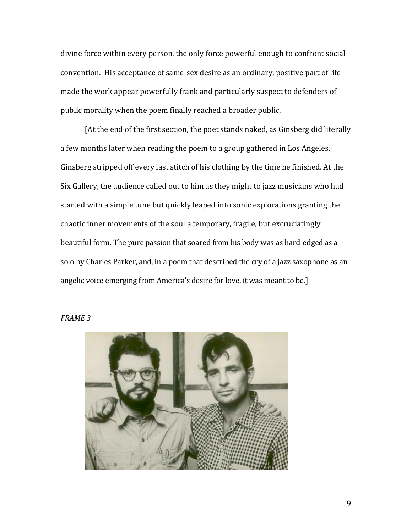divine force within every person, the only force powerful enough to confront social convention. His acceptance of same-sex desire as an ordinary, positive part of life made the work appear powerfully frank and particularly suspect to defenders of public morality when the poem finally reached a broader public.

[At the end of the first section, the poet stands naked, as Ginsberg did literally a few months later when reading the poem to a group gathered in Los Angeles, Ginsberg stripped off every last stitch of his clothing by the time he finished. At the Six Gallery, the audience called out to him as they might to jazz musicians who had started with a simple tune but quickly leaped into sonic explorations granting the chaotic inner movements of the soul a temporary, fragile, but excruciatingly beautiful form. The pure passion that soared from his body was as hard-edged as a solo by Charles Parker, and, in a poem that described the cry of a jazz saxophone as an angelic voice emerging from America's desire for love, it was meant to be.]



#### *FRAME 3*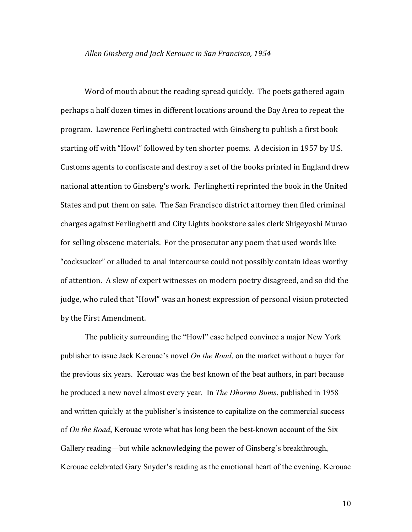#### Allen Ginsberg and Jack Kerouac in San Francisco, 1954

Word of mouth about the reading spread quickly. The poets gathered again perhaps a half dozen times in different locations around the Bay Area to repeat the program. Lawrence Ferlinghetti contracted with Ginsberg to publish a first book starting off with "Howl" followed by ten shorter poems. A decision in 1957 by U.S. Customs agents to confiscate and destroy a set of the books printed in England drew national attention to Ginsberg's work. Ferlinghetti reprinted the book in the United States and put them on sale. The San Francisco district attorney then filed criminal charges against Ferlinghetti and City Lights bookstore sales clerk Shigeyoshi Murao for selling obscene materials. For the prosecutor any poem that used words like "cocksucker" or alluded to anal intercourse could not possibly contain ideas worthy of attention. A slew of expert witnesses on modern poetry disagreed, and so did the judge, who ruled that "Howl" was an honest expression of personal vision protected by the First Amendment.

The publicity surrounding the "Howl" case helped convince a major New York publisher to issue Jack Kerouac's novel *On the Road*, on the market without a buyer for the previous six years. Kerouac was the best known of the beat authors, in part because he produced a new novel almost every year. In *The Dharma Bums*, published in 1958 and written quickly at the publisher's insistence to capitalize on the commercial success of *On the Road*, Kerouac wrote what has long been the best-known account of the Six Gallery reading—but while acknowledging the power of Ginsberg's breakthrough, Kerouac celebrated Gary Snyder's reading as the emotional heart of the evening. Kerouac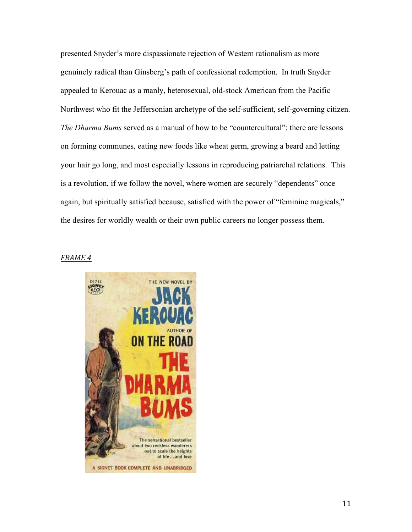presented Snyder's more dispassionate rejection of Western rationalism as more genuinely radical than Ginsberg's path of confessional redemption. In truth Snyder appealed to Kerouac as a manly, heterosexual, old-stock American from the Pacific Northwest who fit the Jeffersonian archetype of the self-sufficient, self-governing citizen. *The Dharma Bums* served as a manual of how to be "countercultural": there are lessons on forming communes, eating new foods like wheat germ, growing a beard and letting your hair go long, and most especially lessons in reproducing patriarchal relations. This is a revolution, if we follow the novel, where women are securely "dependents" once again, but spiritually satisfied because, satisfied with the power of "feminine magicals," the desires for worldly wealth or their own public careers no longer possess them.

#### *FRAME 4*

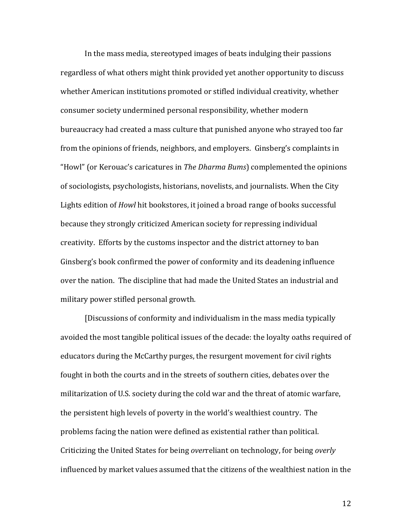In the mass media, stereotyped images of beats indulging their passions regardless of what others might think provided yet another opportunity to discuss whether American institutions promoted or stifled individual creativity, whether consumer society undermined personal responsibility, whether modern bureaucracy had created a mass culture that punished anyone who strayed too far from the opinions of friends, neighbors, and employers. Ginsberg's complaints in "Howl" (or Kerouac's caricatures in *The Dharma Bums*) complemented the opinions of sociologists, psychologists, historians, novelists, and journalists. When the City Lights edition of *Howl* hit bookstores, it joined a broad range of books successful because they strongly criticized American society for repressing individual creativity. Efforts by the customs inspector and the district attorney to ban Ginsberg's book confirmed the power of conformity and its deadening influence over the nation. The discipline that had made the United States an industrial and military power stifled personal growth.

[Discussions of conformity and individualism in the mass media typically avoided the most tangible political issues of the decade: the loyalty oaths required of educators during the McCarthy purges, the resurgent movement for civil rights fought in both the courts and in the streets of southern cities, debates over the militarization of U.S. society during the cold war and the threat of atomic warfare, the persistent high levels of poverty in the world's wealthiest country. The problems facing the nation were defined as existential rather than political. Criticizing the United States for being *overreliant* on technology, for being *overly* influenced by market values assumed that the citizens of the wealthiest nation in the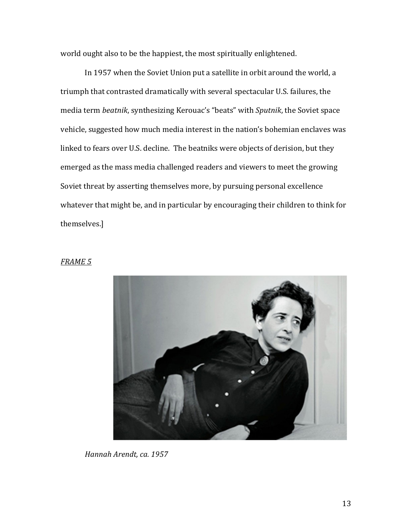world ought also to be the happiest, the most spiritually enlightened.

In 1957 when the Soviet Union put a satellite in orbit around the world, a triumph that contrasted dramatically with several spectacular U.S. failures, the media term *beatnik*, synthesizing Kerouac's "beats" with *Sputnik*, the Soviet space vehicle, suggested how much media interest in the nation's bohemian enclaves was linked to fears over U.S. decline. The beatniks were objects of derision, but they emerged as the mass media challenged readers and viewers to meet the growing Soviet threat by asserting themselves more, by pursuing personal excellence whatever that might be, and in particular by encouraging their children to think for themselves.]

#### *FRAME 5*



*Hannah Arendt, ca. 1957*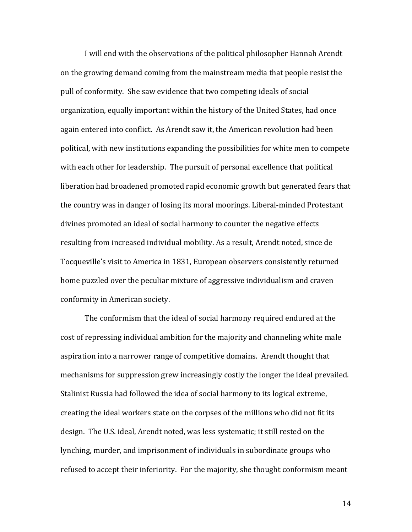I will end with the observations of the political philosopher Hannah Arendt on the growing demand coming from the mainstream media that people resist the pull of conformity. She saw evidence that two competing ideals of social organization, equally important within the history of the United States, had once again entered into conflict. As Arendt saw it, the American revolution had been political, with new institutions expanding the possibilities for white men to compete with each other for leadership. The pursuit of personal excellence that political liberation had broadened promoted rapid economic growth but generated fears that the country was in danger of losing its moral moorings. Liberal-minded Protestant divines promoted an ideal of social harmony to counter the negative effects resulting from increased individual mobility. As a result, Arendt noted, since de Tocqueville's visit to America in 1831, European observers consistently returned home puzzled over the peculiar mixture of aggressive individualism and craven conformity in American society.

The conformism that the ideal of social harmony required endured at the cost of repressing individual ambition for the majority and channeling white male aspiration into a narrower range of competitive domains. Arendt thought that mechanisms for suppression grew increasingly costly the longer the ideal prevailed. Stalinist Russia had followed the idea of social harmony to its logical extreme, creating the ideal workers state on the corpses of the millions who did not fit its design. The U.S. ideal, Arendt noted, was less systematic; it still rested on the lynching, murder, and imprisonment of individuals in subordinate groups who refused to accept their inferiority. For the majority, she thought conformism meant